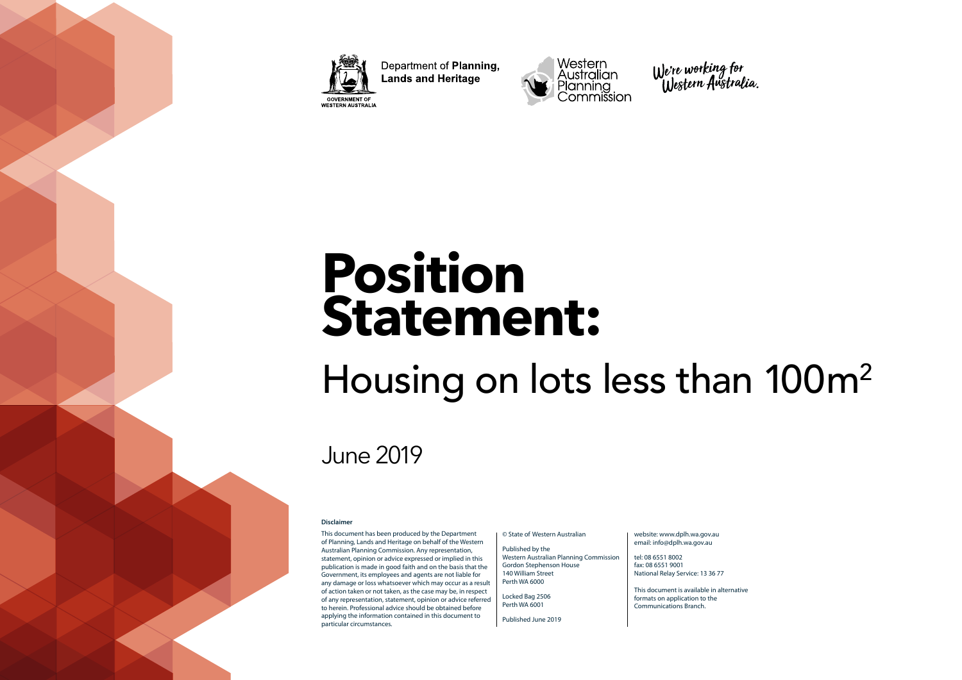

Department of Planning, **Lands and Heritage GOVERNMENT OF** WESTERN AUSTRALIA





# **Position Statement:**

## Housing on lots less than 100m2

## June 2019

#### **Disclaimer**

This document has been produced by the Department of Planning, Lands and Heritage on behalf of the Western Australian Planning Commission. Any representation, statement, opinion or advice expressed or implied in this publication is made in good faith and on the basis that the Government, its employees and agents are not liable for any damage or loss whatsoever which may occur as a result of action taken or not taken, as the case may be, in respect of any representation, statement, opinion or advice referred to herein. Professional advice should be obtained before applying the information contained in this document to particular circumstances.

© State of Western Australian

Published by the Western Australian Planning Commission Gordon Stephenson House 140 William Street Perth WA 6000

Locked Bag 2506 Perth WA 6001

Published June 2019

#### website: www.dplh.wa.gov.au email: info@dplh.wa.gov.au

tel: 08 6551 8002 fax: 08 6551 9001 National Relay Service: 13 36 77

This document is available in alternative formats on application to the Communications Branch.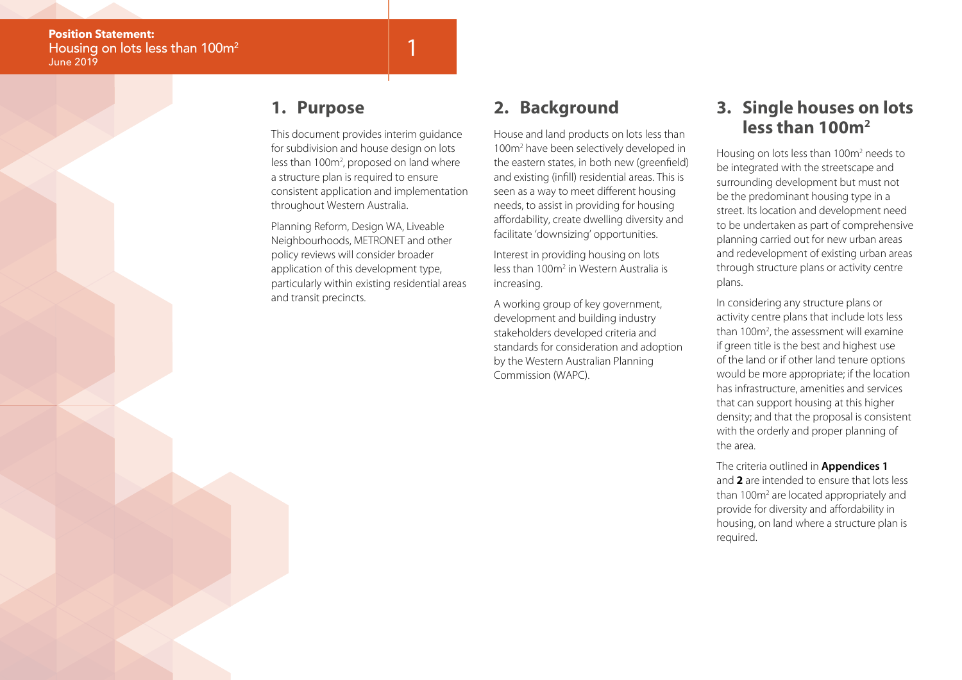#### **1. Purpose**

This document provides interim guidance for subdivision and house design on lots less than 100m<sup>2</sup>, proposed on land where a structure plan is required to ensure consistent application and implementation throughout Western Australia.

1

Planning Reform, Design WA, Liveable Neighbourhoods, METRONET and other policy reviews will consider broader application of this development type, particularly within existing residential areas and transit precincts.

## **2. Background**

House and land products on lots less than 100m2 have been selectively developed in the eastern states, in both new (greenfield) and existing (infill) residential areas. This is seen as a way to meet different housing needs, to assist in providing for housing affordability, create dwelling diversity and facilitate 'downsizing' opportunities.

Interest in providing housing on lots less than 100m<sup>2</sup> in Western Australia is increasing.

A working group of key government, development and building industry stakeholders developed criteria and standards for consideration and adoption by the Western Australian Planning Commission (WAPC).

#### **3. Single houses on lots less than 100m2**

Housing on lots less than 100m<sup>2</sup> needs to be integrated with the streetscape and surrounding development but must not be the predominant housing type in a street. Its location and development need to be undertaken as part of comprehensive planning carried out for new urban areas and redevelopment of existing urban areas through structure plans or activity centre plans.

In considering any structure plans or activity centre plans that include lots less than 100m<sup>2</sup>, the assessment will examine if green title is the best and highest use of the land or if other land tenure options would be more appropriate; if the location has infrastructure, amenities and services that can support housing at this higher density; and that the proposal is consistent with the orderly and proper planning of the area.

The criteria outlined in **Appendices 1**  and **2** are intended to ensure that lots less than 100m<sup>2</sup> are located appropriately and provide for diversity and affordability in housing, on land where a structure plan is required.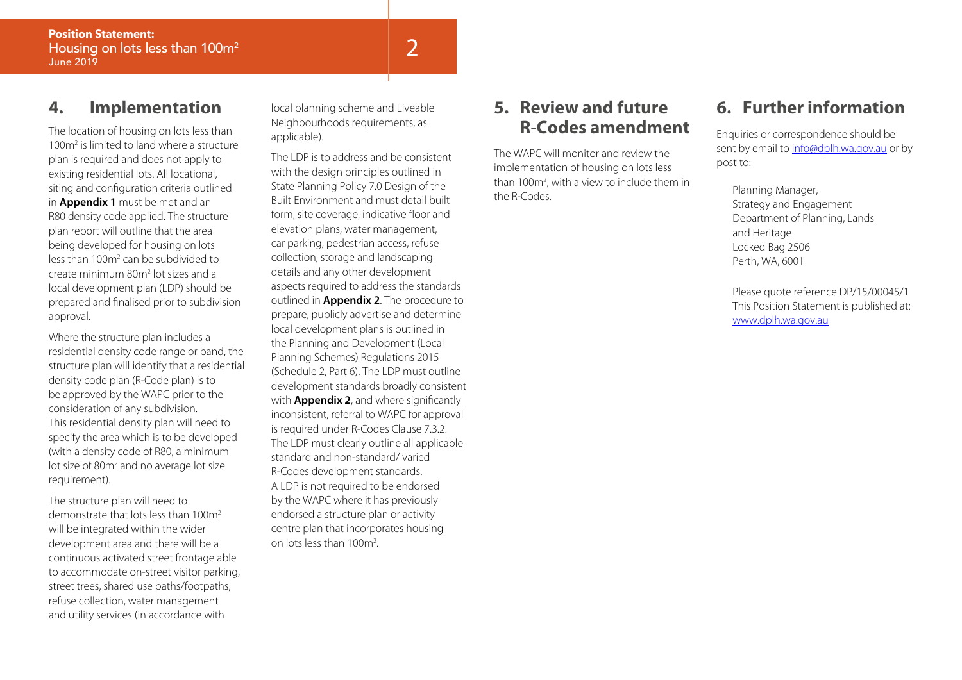#### **4. Implementation**

The location of housing on lots less than 100m2 is limited to land where a structure plan is required and does not apply to existing residential lots. All locational, siting and configuration criteria outlined in **Appendix 1** must be met and an R80 density code applied. The structure plan report will outline that the area being developed for housing on lots less than 100m<sup>2</sup> can be subdivided to create minimum 80m2 lot sizes and a local development plan (LDP) should be prepared and finalised prior to subdivision approval.

Where the structure plan includes a residential density code range or band, the structure plan will identify that a residential density code plan (R-Code plan) is to be approved by the WAPC prior to the consideration of any subdivision. This residential density plan will need to specify the area which is to be developed (with a density code of R80, a minimum lot size of 80m<sup>2</sup> and no average lot size requirement).

The structure plan will need to demonstrate that lots less than 100m2 will be integrated within the wider development area and there will be a continuous activated street frontage able to accommodate on-street visitor parking, street trees, shared use paths/footpaths, refuse collection, water management and utility services (in accordance with

local planning scheme and Liveable Neighbourhoods requirements, as applicable).

The LDP is to address and be consistent with the design principles outlined in State Planning Policy 7.0 Design of the Built Environment and must detail built form, site coverage, indicative floor and elevation plans, water management, car parking, pedestrian access, refuse collection, storage and landscaping details and any other development aspects required to address the standards outlined in **Appendix 2**. The procedure to prepare, publicly advertise and determine local development plans is outlined in the Planning and Development (Local Planning Schemes) Regulations 2015 (Schedule 2, Part 6). The LDP must outline development standards broadly consistent with **Appendix 2**, and where significantly inconsistent, referral to WAPC for approval is required under R-Codes Clause 7.3.2. The LDP must clearly outline all applicable standard and non-standard/ varied R-Codes development standards. A LDP is not required to be endorsed by the WAPC where it has previously endorsed a structure plan or activity centre plan that incorporates housing on lots less than 100m2 .

#### **5. Review and future R-Codes amendment**

The WAPC will monitor and review the implementation of housing on lots less than 100m<sup>2</sup>, with a view to include them in the R-Codes.

### **6. Further information**

Enquiries or correspondence should be sent by email to info@dplh.wa.gov.au or by post to:

Planning Manager, Strategy and Engagement Department of Planning, Lands and Heritage Locked Bag 2506 Perth, WA, 6001

Please quote reference DP/15/00045/1 This Position Statement is published at: www.dplh.wa.gov.au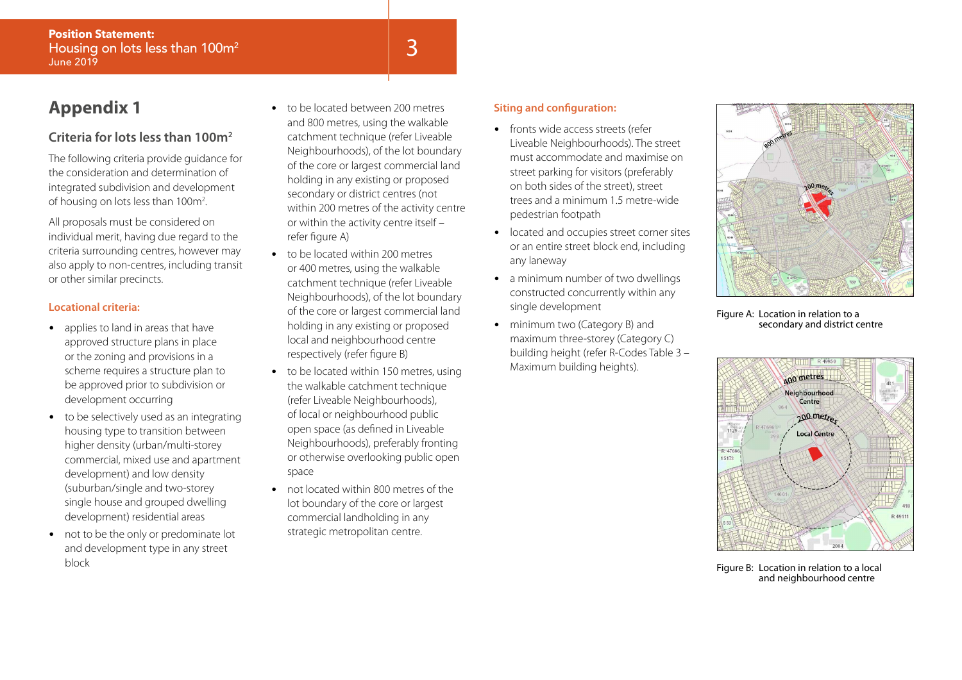### **Appendix 1**

#### **Criteria for lots less than 100m2**

The following criteria provide guidance for the consideration and determination of integrated subdivision and development of housing on lots less than 100m2 .

All proposals must be considered on individual merit, having due regard to the criteria surrounding centres, however may also apply to non-centres, including transit or other similar precincts.

#### **Locational criteria:**

- applies to land in areas that have approved structure plans in place or the zoning and provisions in a scheme requires a structure plan to be approved prior to subdivision or development occurring
- to be selectively used as an integrating housing type to transition between higher density (urban/multi-storey commercial, mixed use and apartment development) and low density (suburban/single and two-storey single house and grouped dwelling development) residential areas
- not to be the only or predominate lot and development type in any street block
- to be located between 200 metres and 800 metres, using the walkable catchment technique (refer Liveable Neighbourhoods), of the lot boundary of the core or largest commercial land holding in any existing or proposed secondary or district centres (not within 200 metres of the activity centre or within the activity centre itself – refer figure A)
- to be located within 200 metres or 400 metres, using the walkable catchment technique (refer Liveable Neighbourhoods), of the lot boundary of the core or largest commercial land holding in any existing or proposed local and neighbourhood centre respectively (refer figure B)
- to be located within 150 metres, using the walkable catchment technique (refer Liveable Neighbourhoods), of local or neighbourhood public open space (as defined in Liveable Neighbourhoods), preferably fronting or otherwise overlooking public open space
- not located within 800 metres of the lot boundary of the core or largest commercial landholding in any strategic metropolitan centre.

#### **Siting and configuration:**

- fronts wide access streets (refer Liveable Neighbourhoods). The street must accommodate and maximise on street parking for visitors (preferably on both sides of the street), street trees and a minimum 1.5 metre-wide pedestrian footpath
- located and occupies street corner sites or an entire street block end, including any laneway
- a minimum number of two dwellings constructed concurrently within any single development
- minimum two (Category B) and maximum three-storey (Category C) building height (refer R-Codes Table 3 – Maximum building heights).



Figure A: Location in relation to a secondary and district centre



Figure B: Location in relation to a local and neighbourhood centre

## 3